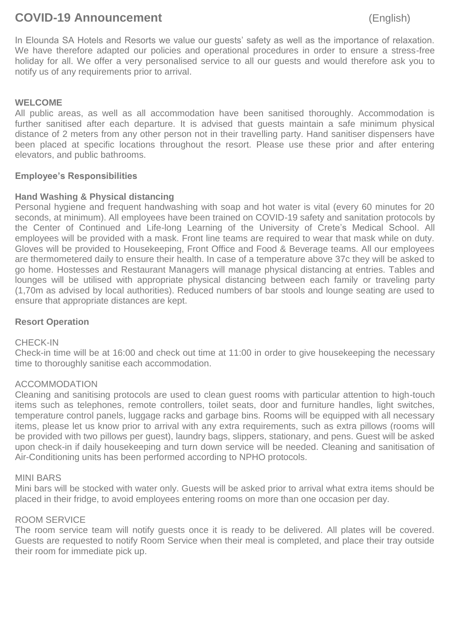# **COVID-19 Announcement** (English)

In Elounda SA Hotels and Resorts we value our guests' safety as well as the importance of relaxation. We have therefore adapted our policies and operational procedures in order to ensure a stress-free holiday for all. We offer a very personalised service to all our guests and would therefore ask you to notify us of any requirements prior to arrival.

# **WELCOME**

All public areas, as well as all accommodation have been sanitised thoroughly. Accommodation is further sanitised after each departure. It is advised that guests maintain a safe minimum physical distance of 2 meters from any other person not in their travelling party. Hand sanitiser dispensers have been placed at specific locations throughout the resort. Please use these prior and after entering elevators, and public bathrooms.

# **Employee's Responsibilities**

# **Hand Washing & Physical distancing**

Personal hygiene and frequent handwashing with soap and hot water is vital (every 60 minutes for 20 seconds, at minimum). All employees have been trained on COVID-19 safety and sanitation protocols by the Center of Continued and Life-long Learning of the University of Crete's Medical School. All employees will be provided with a mask. Front line teams are required to wear that mask while on duty. Gloves will be provided to Housekeeping, Front Office and Food & Beverage teams. All our employees are thermometered daily to ensure their health. In case of a temperature above 37c they will be asked to go home. Hostesses and Restaurant Managers will manage physical distancing at entries. Tables and lounges will be utilised with appropriate physical distancing between each family or traveling party (1,70m as advised by local authorities). Reduced numbers of bar stools and lounge seating are used to ensure that appropriate distances are kept.

## **Resort Operation**

#### CHECK-IN

Check-in time will be at 16:00 and check out time at 11:00 in order to give housekeeping the necessary time to thoroughly sanitise each accommodation.

#### ACCOMMODATION

Cleaning and sanitising protocols are used to clean guest rooms with particular attention to high-touch items such as telephones, remote controllers, toilet seats, door and furniture handles, light switches, temperature control panels, luggage racks and garbage bins. Rooms will be equipped with all necessary items, please let us know prior to arrival with any extra requirements, such as extra pillows (rooms will be provided with two pillows per guest), laundry bags, slippers, stationary, and pens. Guest will be asked upon check-in if daily housekeeping and turn down service will be needed. Cleaning and sanitisation of Air-Conditioning units has been performed according to NPHO protocols.

#### MINI BARS

Mini bars will be stocked with water only. Guests will be asked prior to arrival what extra items should be placed in their fridge, to avoid employees entering rooms on more than one occasion per day.

#### ROOM SERVICE

The room service team will notify guests once it is ready to be delivered. All plates will be covered. Guests are requested to notify Room Service when their meal is completed, and place their tray outside their room for immediate pick up.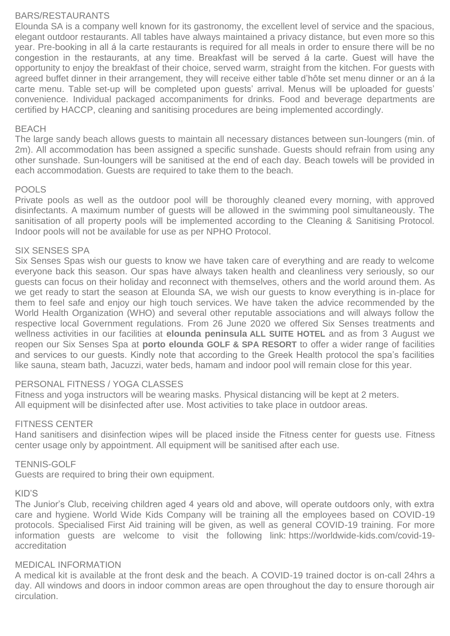#### BARS/RESTAURANTS

Elounda SA is a company well known for its gastronomy, the excellent level of service and the spacious, elegant outdoor restaurants. All tables have always maintained a privacy distance, but even more so this year. Pre-booking in all á la carte restaurants is required for all meals in order to ensure there will be no congestion in the restaurants, at any time. Breakfast will be served á la carte. Guest will have the opportunity to enjoy the breakfast of their choice, served warm, straight from the kitchen. For guests with agreed buffet dinner in their arrangement, they will receive either table d'hôte set menu dinner or an á la carte menu. Table set-up will be completed upon guests' arrival. Menus will be uploaded for guests' convenience. Individual packaged accompaniments for drinks. Food and beverage departments are certified by HACCP, cleaning and sanitising procedures are being implemented accordingly.

#### BEACH

The large sandy beach allows guests to maintain all necessary distances between sun-loungers (min. of 2m). All accommodation has been assigned a specific sunshade. Guests should refrain from using any other sunshade. Sun-loungers will be sanitised at the end of each day. Beach towels will be provided in each accommodation. Guests are required to take them to the beach.

#### POOLS

Private pools as well as the outdoor pool will be thoroughly cleaned every morning, with approved disinfectants. A maximum number of guests will be allowed in the swimming pool simultaneously. The sanitisation of all property pools will be implemented according to the Cleaning & Sanitising Protocol. Indoor pools will not be available for use as per NPHO Protocol.

#### SIX SENSES SPA

Six Senses Spas wish our guests to know we have taken care of everything and are ready to welcome everyone back this season. Our spas have always taken health and cleanliness very seriously, so our guests can focus on their holiday and reconnect with themselves, others and the world around them. As we get ready to start the season at Elounda SA, we wish our guests to know everything is in-place for them to feel safe and enjoy our high touch services. We have taken the advice recommended by the World Health Organization (WHO) and several other reputable associations and will always follow the respective local Government regulations. From 26 June 2020 we offered Six Senses treatments and wellness activities in our facilities at **elounda peninsula ALL SUITE HOTEL** and as from 3 August we reopen our Six Senses Spa at **porto elounda GOLF & SPA RESORT** to offer a wider range of facilities and services to our guests. Kindly note that according to the Greek Health protocol the spa's facilities like sauna, steam bath, Jacuzzi, water beds, hamam and indoor pool will remain close for this year.

#### PERSONAL FITNESS / YOGA CLASSES

Fitness and yoga instructors will be wearing masks. Physical distancing will be kept at 2 meters. All equipment will be disinfected after use. Most activities to take place in outdoor areas.

#### FITNESS CENTER

Hand sanitisers and disinfection wipes will be placed inside the Fitness center for guests use. Fitness center usage only by appointment. All equipment will be sanitised after each use.

#### TENNIS-GOLF

Guests are required to bring their own equipment.

#### KID'S

The Junior's Club, receiving children aged 4 years old and above, will operate outdoors only, with extra care and hygiene. World Wide Kids Company will be training all the employees based on COVID-19 protocols. Specialised First Aid training will be given, as well as general COVID-19 training. For more information guests are welcome to visit the following link: [https://worldwide-kids.com/covid-19](https://worldwide-kids.com/covid-19-accreditation) [accreditation](https://worldwide-kids.com/covid-19-accreditation)

#### MEDICAL INFORMATION

A medical kit is available at the front desk and the beach. A COVID-19 trained doctor is on-call 24hrs a day. All windows and doors in indoor common areas are open throughout the day to ensure thorough air circulation.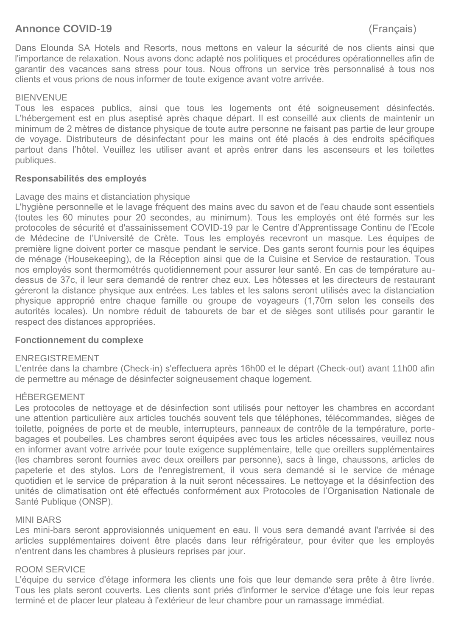# **Annonce COVID-19** (Français)

Dans Elounda SA Hotels and Resorts, nous mettons en valeur la sécurité de nos clients ainsi que l'importance de relaxation. Nous avons donc adapté nos politiques et procédures opérationnelles afin de garantir des vacances sans stress pour tous. Nous offrons un service très personnalisé à tous nos clients et vous prions de nous informer de toute exigence avant votre arrivée.

## **BIENVENUE**

Tous les espaces publics, ainsi que tous les logements ont été soigneusement désinfectés. L'hébergement est en plus aseptisé après chaque départ. Il est conseillé aux clients de maintenir un minimum de 2 mètres de distance physique de toute autre personne ne faisant pas partie de leur groupe de voyage. Distributeurs de désinfectant pour les mains ont été placés à des endroits spécifiques partout dans l'hôtel. Veuillez les utiliser avant et après entrer dans les ascenseurs et les toilettes publiques.

#### **Responsabilités des employés**

# Lavage des mains et distanciation physique

L'hygiène personnelle et le lavage fréquent des mains avec du savon et de l'eau chaude sont essentiels (toutes les 60 minutes pour 20 secondes, au minimum). Tous les employés ont été formés sur les protocoles de sécurité et d'assainissement COVID-19 par le Centre d'Apprentissage Continu de l'Ecole de Médecine de l'Université de Crète. Tous les employés recevront un masque. Les équipes de première ligne doivent porter ce masque pendant le service. Des gants seront fournis pour les équipes de ménage (Housekeeping), de la Réception ainsi que de la Cuisine et Service de restauration. Tous nos employés sont thermométrés quotidiennement pour assurer leur santé. En cas de température audessus de 37c, il leur sera demandé de rentrer chez eux. Les hôtesses et les directeurs de restaurant géreront la distance physique aux entrées. Les tables et les salons seront utilisés avec la distanciation physique approprié entre chaque famille ou groupe de voyageurs (1,70m selon les conseils des autorités locales). Un nombre réduit de tabourets de bar et de sièges sont utilisés pour garantir le respect des distances appropriées.

#### **Fonctionnement du complexe**

#### ENREGISTREMENT

L'entrée dans la chambre (Check-in) s'effectuera après 16h00 et le départ (Check-out) avant 11h00 afin de permettre au ménage de désinfecter soigneusement chaque logement.

#### HÉBERGEMENT

Les protocoles de nettoyage et de désinfection sont utilisés pour nettoyer les chambres en accordant une attention particulière aux articles touchés souvent tels que téléphones, télécommandes, sièges de toilette, poignées de porte et de meuble, interrupteurs, panneaux de contrôle de la température, portebagages et poubelles. Les chambres seront équipées avec tous les articles nécessaires, veuillez nous en informer avant votre arrivée pour toute exigence supplémentaire, telle que oreillers supplémentaires (les chambres seront fournies avec deux oreillers par personne), sacs à linge, chaussons, articles de papeterie et des stylos. Lors de l'enregistrement, il vous sera demandé si le service de ménage quotidien et le service de préparation à la nuit seront nécessaires. Le nettoyage et la désinfection des unités de climatisation ont été effectués conformément aux Protocoles de l'Organisation Nationale de Santé Publique (ONSP).

#### MINI BARS

Les mini-bars seront approvisionnés uniquement en eau. Il vous sera demandé avant l'arrivée si des articles supplémentaires doivent être placés dans leur réfrigérateur, pour éviter que les employés n'entrent dans les chambres à plusieurs reprises par jour.

#### ROOM SERVICE

L'équipe du service d'étage informera les clients une fois que leur demande sera prête à être livrée. Tous les plats seront couverts. Les clients sont priés d'informer le service d'étage une fois leur repas terminé et de placer leur plateau à l'extérieur de leur chambre pour un ramassage immédiat.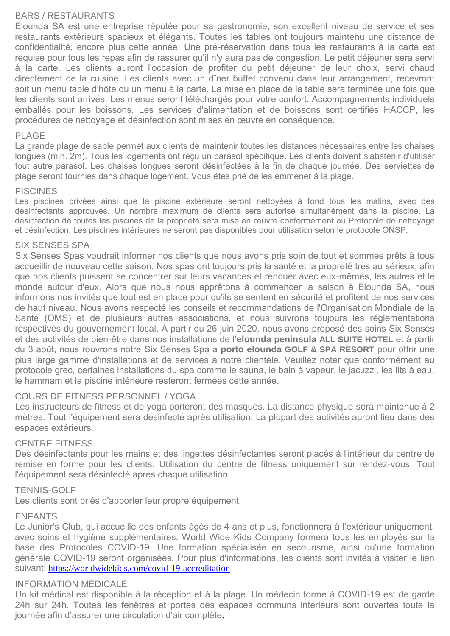# BARS / RESTAURANTS

Elounda SA est une entreprise réputée pour sa gastronomie, son excellent niveau de service et ses restaurants extérieurs spacieux et élégants. Toutes les tables ont toujours maintenu une distance de confidentialité, encore plus cette année. Une pré-réservation dans tous les restaurants à la carte est requise pour tous les repas afin de rassurer qu'il n'y aura pas de congestion. Le petit déjeuner sera servi à la carte. Les clients auront l'occasion de profiter du petit déjeuner de leur choix, servi chaud directement de la cuisine. Les clients avec un dîner buffet convenu dans leur arrangement, recevront soit un menu table d'hôte ou un menu à la carte. La mise en place de la table sera terminée une fois que les clients sont arrivés. Les menus seront téléchargés pour votre confort. Accompagnements individuels emballés pour les boissons. Les services d'alimentation et de boissons sont certifiés HACCP, les procédures de nettoyage et désinfection sont mises en œuvre en conséquence.

#### PLAGE

La grande plage de sable permet aux clients de maintenir toutes les distances nécessaires entre les chaises longues (min. 2m). Tous les logements ont reçu un parasol spécifique. Les clients doivent s'abstenir d'utiliser tout autre parasol. Les chaises longues seront désinfectées à la fin de chaque journée. Des serviettes de plage seront fournies dans chaque logement. Vous êtes prié de les emmener à la plage.

#### **PISCINES**

Les piscines privées ainsi que la piscine extérieure seront nettoyées à fond tous les matins, avec des désinfectants approuvés. Un nombre maximum de clients sera autorisé simultanément dans la piscine. La désinfection de toutes les piscines de la propriété sera mise en œuvre conformément au Protocole de nettoyage et désinfection. Les piscines intérieures ne seront pas disponibles pour utilisation selon le protocole ONSP.

#### SIX SENSES SPA

Six Senses Spas voudrait informer nos clients que nous avons pris soin de tout et sommes prêts à tous accueillir de nouveau cette saison. Nos spas ont toujours pris la santé et la propreté très au sérieux, afin que nos clients puissent se concentrer sur leurs vacances et renouer avec eux-mêmes, les autres et le monde autour d'eux. Alors que nous nous apprêtons à commencer la saison à Elounda SA, nous informons nos invités que tout est en place pour qu'ils se sentent en sécurité et profitent de nos services de haut niveau. Nous avons respecté les conseils et recommandations de l'Organisation Mondiale de la Santé (OMS) et de plusieurs autres associations, et nous suivrons toujours les réglementations respectives du gouvernement local. À partir du 26 juin 2020, nous avons proposé des soins Six Senses et des activités de bien-être dans nos installations de l'**elounda peninsula ALL SUITE HOTEL** et à partir du 3 août, nous rouvrons notre Six Senses Spa à **porto elounda GOLF & SPA RESORT** pour offrir une plus large gamme d'installations et de services à notre clientèle. Veuillez noter que conformément au protocole grec, certaines installations du spa comme le sauna, le bain à vapeur, le jacuzzi, les lits à eau, le hammam et la piscine intérieure resteront fermées cette année.

#### COURS DE FITNESS PERSONNEL / YOGA

Les instructeurs de fitness et de yoga porteront des masques. La distance physique sera maintenue à 2 mètres. Tout l'équipement sera désinfecté après utilisation. La plupart des activités auront lieu dans des espaces extérieurs.

#### CENTRE FITNESS

Des désinfectants pour les mains et des lingettes désinfectantes seront placés à l'intérieur du centre de remise en forme pour les clients. Utilisation du centre de fitness uniquement sur rendez-vous. Tout l'équipement sera désinfecté après chaque utilisation.

#### TENNIS-GOLF

Les clients sont priés d'apporter leur propre équipement.

#### ENFANTS

Le Junior's Club, qui accueille des enfants âgés de 4 ans et plus, fonctionnera à l'extérieur uniquement, avec soins et hygiène supplémentaires. World Wide Kids Company formera tous les employés sur la base des Protocoles COVID-19. Une formation spécialisée en secourisme, ainsi qu'une formation générale COVID-19 seront organisées. Pour plus d'informations, les clients sont invités à visiter le lien suivant: <https://worldwidekids.com/covid-19-accreditation>

# INFORMATION MÉDICALE

Un kit médical est disponible à la réception et à la plage. Un médecin formé à COVID-19 est de garde 24h sur 24h. Toutes les fenêtres et portes des espaces communs intérieurs sont ouvertes toute la journée afin d'assurer une circulation d'air complète.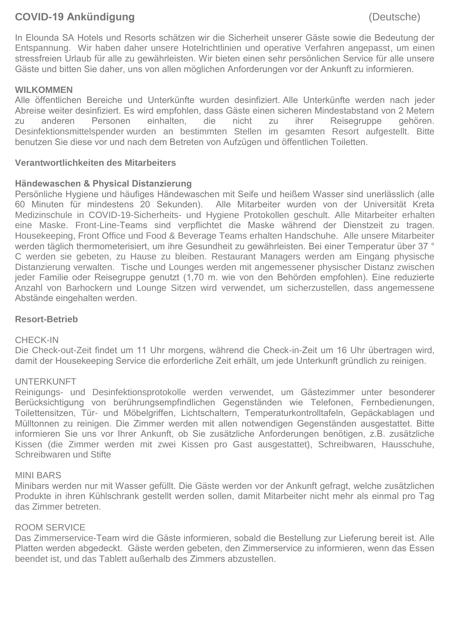# **COVID-19 Ankündigung** (Deutsche)

In Elounda SA Hotels und Resorts schätzen wir die Sicherheit unserer Gäste sowie die Bedeutung der Entspannung. Wir haben daher unsere Hotelrichtlinien und operative Verfahren angepasst, um einen stressfreien Urlaub für alle zu gewährleisten. Wir bieten einen sehr persönlichen Service für alle unsere Gäste und bitten Sie daher, uns von allen möglichen Anforderungen vor der Ankunft zu informieren.

# **WILKOMMEN**

Alle öffentlichen Bereiche und Unterkünfte wurden desinfiziert. Alle Unterkünfte werden nach jeder Abreise weiter desinfiziert. Es wird empfohlen, dass Gäste einen sicheren Mindestabstand von 2 Metern zu anderen Personen einhalten, die nicht zu ihrer Reisegruppe gehören. Desinfektionsmittelspender wurden an bestimmten Stellen im gesamten Resort aufgestellt. Bitte benutzen Sie diese vor und nach dem Betreten von Aufzügen und öffentlichen Toiletten.

# **Verantwortlichkeiten des Mitarbeiters**

#### **Händewaschen & Physical Distanzierung**

Persönliche Hygiene und häufiges Händewaschen mit Seife und heißem Wasser sind unerlässlich (alle 60 Minuten für mindestens 20 Sekunden). Alle Mitarbeiter wurden von der Universität Kreta Medizinschule in COVID-19-Sicherheits- und Hygiene Protokollen geschult. Alle Mitarbeiter erhalten eine Maske. Front-Line-Teams sind verpflichtet die Maske während der Dienstzeit zu tragen. Housekeeping, Front Office und Food & Beverage Teams erhalten Handschuhe. Alle unsere Mitarbeiter werden täglich thermometerisiert, um ihre Gesundheit zu gewährleisten. Bei einer Temperatur über 37 ° C werden sie gebeten, zu Hause zu bleiben. Restaurant Managers werden am Eingang physische Distanzierung verwalten. Tische und Lounges werden mit angemessener physischer Distanz zwischen jeder Familie oder Reisegruppe genutzt (1,70 m. wie von den Behörden empfohlen). Eine reduzierte Anzahl von Barhockern und Lounge Sitzen wird verwendet, um sicherzustellen, dass angemessene Abstände eingehalten werden.

#### **Resort-Betrieb**

#### CHECK-IN

Die Check-out-Zeit findet um 11 Uhr morgens, während die Check-in-Zeit um 16 Uhr übertragen wird, damit der Housekeeping Service die erforderliche Zeit erhält, um jede Unterkunft gründlich zu reinigen.

#### UNTERKUNFT

Reinigungs- und Desinfektionsprotokolle werden verwendet, um Gästezimmer unter besonderer Berücksichtigung von berührungsempfindlichen Gegenständen wie Telefonen, Fernbedienungen, Toilettensitzen, Tür- und Möbelgriffen, Lichtschaltern, Temperaturkontrolltafeln, Gepäckablagen und Mülltonnen zu reinigen. Die Zimmer werden mit allen notwendigen Gegenständen ausgestattet. Bitte informieren Sie uns vor Ihrer Ankunft, ob Sie zusätzliche Anforderungen benötigen, z.B. zusätzliche Kissen (die Zimmer werden mit zwei Kissen pro Gast ausgestattet), Schreibwaren, Hausschuhe, Schreibwaren und Stifte

#### MINI BARS

Minibars werden nur mit Wasser gefüllt. Die Gäste werden vor der Ankunft gefragt, welche zusätzlichen Produkte in ihren Kühlschrank gestellt werden sollen, damit Mitarbeiter nicht mehr als einmal pro Tag das Zimmer betreten.

#### ROOM SERVICE

Das Zimmerservice-Team wird die Gäste informieren, sobald die Bestellung zur Lieferung bereit ist. Alle Platten werden abgedeckt. Gäste werden gebeten, den Zimmerservice zu informieren, wenn das Essen beendet ist, und das Tablett außerhalb des Zimmers abzustellen.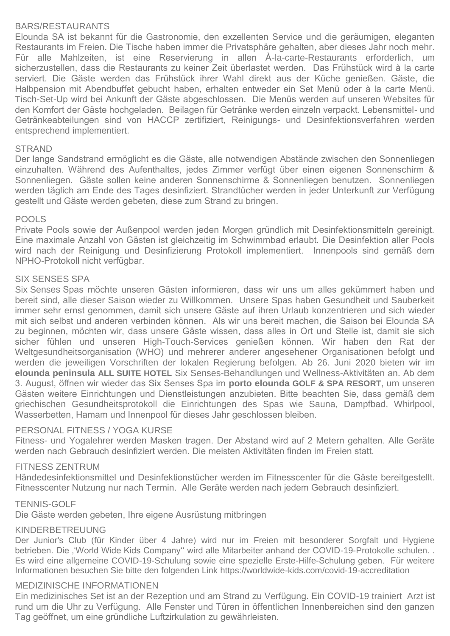# BARS/RESTAURANTS

Elounda SA ist bekannt für die Gastronomie, den exzellenten Service und die geräumigen, eleganten Restaurants im Freien. Die Tische haben immer die Privatsphäre gehalten, aber dieses Jahr noch mehr. Für alle Mahlzeiten, ist eine Reservierung in allen À-la-carte-Restaurants erforderlich, um sicherzustellen, dass die Restaurants zu keiner Zeit überlastet werden. Das Frühstück wird à la carte serviert. Die Gäste werden das Frühstück ihrer Wahl direkt aus der Küche genießen. Gäste, die Halbpension mit Abendbuffet gebucht haben, erhalten entweder ein Set Menü oder à la carte Menü. Tisch-Set-Up wird bei Ankunft der Gäste abgeschlossen. Die Menüs werden auf unseren Websites für den Komfort der Gäste hochgeladen. Beilagen für Getränke werden einzeln verpackt. Lebensmittel- und Getränkeabteilungen sind von HACCP zertifiziert, Reinigungs- und Desinfektionsverfahren werden entsprechend implementiert.

#### **STRAND**

Der lange Sandstrand ermöglicht es die Gäste, alle notwendigen Abstände zwischen den Sonnenliegen einzuhalten. Während des Aufenthaltes, jedes Zimmer verfügt über einen eigenen Sonnenschirm & Sonnenliegen. Gäste sollen keine anderen Sonnenschirme & Sonnenliegen benutzen. Sonnenliegen werden täglich am Ende des Tages desinfiziert. Strandtücher werden in jeder Unterkunft zur Verfügung gestellt und Gäste werden gebeten, diese zum Strand zu bringen.

#### POOLS

Private Pools sowie der Außenpool werden jeden Morgen gründlich mit Desinfektionsmitteln gereinigt. Eine maximale Anzahl von Gästen ist gleichzeitig im Schwimmbad erlaubt. Die Desinfektion aller Pools wird nach der Reinigung und Desinfizierung Protokoll implementiert. Innenpools sind gemäß dem NPHO-Protokoll nicht verfügbar.

#### SIX SENSES SPA

Six Senses Spas möchte unseren Gästen informieren, dass wir uns um alles gekümmert haben und bereit sind, alle dieser Saison wieder zu Willkommen. Unsere Spas haben Gesundheit und Sauberkeit immer sehr ernst genommen, damit sich unsere Gäste auf ihren Urlaub konzentrieren und sich wieder mit sich selbst und anderen verbinden können. Als wir uns bereit machen, die Saison bei Elounda SA zu beginnen, möchten wir, dass unsere Gäste wissen, dass alles in Ort und Stelle ist, damit sie sich sicher fühlen und unseren High-Touch-Services genießen können. Wir haben den Rat der Weltgesundheitsorganisation (WHO) und mehrerer anderer angesehener Organisationen befolgt und werden die jeweiligen Vorschriften der lokalen Regierung befolgen. Ab 26. Juni 2020 bieten wir im **elounda peninsula ALL SUITE HOTEL** Six Senses-Behandlungen und Wellness-Aktivitäten an. Ab dem 3. August, öffnen wir wieder das Six Senses Spa im **porto elounda GOLF & SPA RESORT**, um unseren Gästen weitere Einrichtungen und Dienstleistungen anzubieten. Bitte beachten Sie, dass gemäß dem griechischen Gesundheitsprotokoll die Einrichtungen des Spas wie Sauna, Dampfbad, Whirlpool, Wasserbetten, Hamam und Innenpool für dieses Jahr geschlossen bleiben.

#### PERSONAL FITNESS / YOGA KURSE

Fitness- und Yogalehrer werden Masken tragen. Der Abstand wird auf 2 Metern gehalten. Alle Geräte werden nach Gebrauch desinfiziert werden. Die meisten Aktivitäten finden im Freien statt.

#### FITNESS ZENTRUM

Händedesinfektionsmittel und Desinfektionstücher werden im Fitnesscenter für die Gäste bereitgestellt. Fitnesscenter Nutzung nur nach Termin. Alle Geräte werden nach jedem Gebrauch desinfiziert.

#### TENNIS-GOLF

Die Gäste werden gebeten, Ihre eigene Ausrüstung mitbringen

#### KINDERBETREUUNG

Der Junior's Club (für Kinder über 4 Jahre) wird nur im Freien mit besonderer Sorgfalt und Hygiene betrieben. Die ''World Wide Kids Company'' wird alle Mitarbeiter anhand der COVID-19-Protokolle schulen. . Es wird eine allgemeine COVID-19-Schulung sowie eine spezielle Erste-Hilfe-Schulung geben. Für weitere Informationen besuchen Sie bitte den folgenden Link<https://worldwide-kids.com/covid-19-accreditation>

#### MEDIZINISCHE INFORMATIONEN

Ein medizinisches Set ist an der Rezeption und am Strand zu Verfügung. Ein COVID-19 trainiert Arzt ist rund um die Uhr zu Verfügung. Alle Fenster und Türen in öffentlichen Innenbereichen sind den ganzen Tag geöffnet, um eine gründliche Luftzirkulation zu gewährleisten.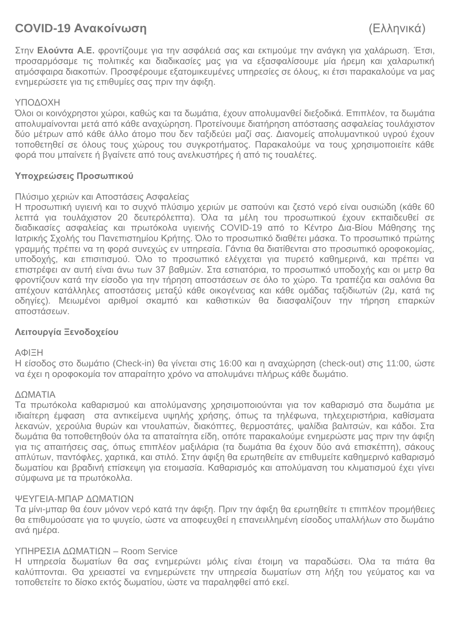# **COVID-19 Ανακοίνωση** (Ελληνικά)

Στην **Ελούντα Α.Ε.** φροντίζουμε για την ασφάλειά σας και εκτιμούμε την ανάγκη για χαλάρωση. Έτσι, προσαρμόσαμε τις πολιτικές και διαδικασίες μας για να εξασφαλίσουμε μία ήρεμη και χαλαρωτική ατμόσφαιρα διακοπών. Προσφέρουμε εξατομικευμένες υπηρεσίες σε όλους, κι έτσι παρακαλούμε να μας ενημερώσετε για τις επιθυμίες σας πριν την άφιξη.

# ΥΠΟΔΟΧΗ

Όλοι οι κοινόχρηστοι χώροι, καθώς και τα δωμάτια, έχουν απολυμανθεί διεξοδικά. Επιπλέον, τα δωμάτια απολυμαίνονται μετά από κάθε αναχώρηση. Προτείνουμε διατήρηση απόστασης ασφαλείας τουλάχιστον δύο μέτρων από κάθε άλλο άτομο που δεν ταξιδεύει μαζί σας. Διανομείς απολυμαντικού υγρού έχουν τοποθετηθεί σε όλους τους χώρους του συγκροτήματος. Παρακαλούμε να τους χρησιμοποιείτε κάθε φορά που μπαίνετε ή βγαίνετε από τους ανελκυστήρες ή από τις τουαλέτες.

# **Υποχρεώσεις Προσωπικού**

# Πλύσιμο χεριών και Αποστάσεις Ασφαλείας

Η προσωπική υγιεινή και το συχνό πλύσιμο χεριών με σαπούνι και ζεστό νερό είναι ουσιώδη (κάθε 60 λεπτά για τουλάχιστον 20 δευτερόλεπτα). Όλα τα μέλη του προσωπικού έχουν εκπαιδευθεί σε διαδικασίες ασφαλείας και πρωτόκολα υγιεινής COVID-19 από το Κέντρο Δια-Βίου Μάθησης της Ιατρικής Σχολής του Πανεπιστημίου Κρήτης. Όλο το προσωπικό διαθέτει μάσκα. Το προσωπικό πρώτης γραμμής πρέπει να τη φορά συνεχώς εν υπηρεσία. Γάντια θα διατίθενται στο προσωπικό οροφοκομίας, υποδοχής, και επισιτισμού. Όλο το προσωπικό ελέγχεται για πυρετό καθημερινά, και πρέπει να επιστρέφει αν αυτή είναι άνω των 37 βαθμών. Στα εστιατόρια, το προσωπικό υποδοχής και οι μετρ θα φροντίζουν κατά την είσοδο για την τήρηση αποστάσεων σε όλο το χώρο. Τα τραπέζια και σαλόνια θα απέχουν κατάλληλες αποστάσεις μεταξύ κάθε οικογένειας και κάθε ομάδας ταξιδιωτών (2μ, κατά τις οδηγίες). Μειωμένοι αριθμοί σκαμπό και καθιστικών θα διασφαλίζουν την τήρηση επαρκών αποστάσεων.

# **Λειτουργία Ξενοδοχείου**

#### ΑΦΙΞΗ

Η είσοδος στο δωμάτιο (Check-in) θα γίνεται στις 16:00 και η αναχώρηση (check-out) στις 11:00, ώστε να έχει η οροφοκομία τον απαραίτητο χρόνο να απολυμάνει πλήρως κάθε δωμάτιο.

#### ΔΩΜΑΤΙΑ

Τα πρωτόκολα καθαρισμού και απολύμανσης χρησιμοποιούνται για τον καθαρισμό στα δωμάτια με ιδιαίτερη έμφαση στα αντικείμενα υψηλής χρήσης, όπως τα τηλέφωνα, τηλεχειριστήρια, καθίσματα λεκανών, χερούλια θυρών και ντουλαπών, διακόπτες, θερμοστάτες, ψαλίδια βαλιτσών, και κάδοι. Στα δωμάτια θα τοποθετηθούν όλα τα απαταίτητα είδη, οπότε παρακαλούμε ενημερώστε μας πριν την άφιξη για τις απαιτήσεις σας, όπως επιπλέον μαξιλάρια (τα δωμάτια θα έχουν δύο ανά επισκέπτη), σάκους απλύτων, παντόφλες, χαρτικά, και στιλό. Στην άφιξη θα ερωτηθείτε αν επιθυμείτε καθημερινό καθαρισμό δωματίου και βραδινή επίσκεψη για ετοιμασία. Καθαρισμός και απολύμανση του κλιματισμού έχει γίνει σύμφωνα με τα πρωτόκολλα.

#### ΨΕΥΓΕΙΑ-ΜΠΑΡ ΔΩΜΑΤΙΩΝ

Τα μίνι-μπαρ θα έουν μόνον νερό κατά την άφιξη. Πριν την άφιξη θα ερωτηθείτε τι επιπλέον προμήθειες θα επιθυμούσατε για το ψυγείο, ώστε να αποφευχθεί η επανειλλημένη είσοδος υπαλλήλων στο δωμάτιο ανά ημέρα.

#### ΥΠΗΡΕΣΙΑ ΔΩΜΑΤΙΩΝ – Room Service

Η υπηρεσία δωματίων θα σας ενημερώνει μόλις είναι έτοιμη να παραδώσει. Όλα τα πιάτα θα καλύπτονται. Θα χρειαστεί να ενημερώνετε την υπηρεσία δωματίων στη λήξη του γεύματος και να τοποθετείτε το δίσκο εκτός δωματίου, ώστε να παραληφθεί από εκεί.